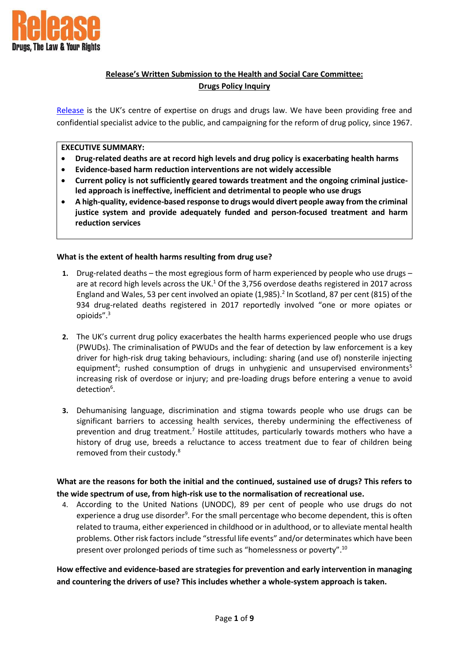

# **Release's Written Submission to the Health and Social Care Committee: Drugs Policy Inquiry**

[Release](https://www.release.org.uk/) is the UK's centre of expertise on drugs and drugs law. We have been providing free and confidential specialist advice to the public, and campaigning for the reform of drug policy, since 1967.

#### **EXECUTIVE SUMMARY:**

- **Drug-related deaths are at record high levels and drug policy is exacerbating health harms**
- **Evidence-based harm reduction interventions are not widely accessible**
- **Current policy is not sufficiently geared towards treatment and the ongoing criminal justiceled approach is ineffective, inefficient and detrimental to people who use drugs**
- **A high-quality, evidence-based response to drugs would divert people away from the criminal justice system and provide adequately funded and person-focused treatment and harm reduction services**

### **What is the extent of health harms resulting from drug use?**

- **1.** Drug-related deaths the most egregious form of harm experienced by people who use drugs are at record high levels across the UK.<sup>1</sup> Of the 3,756 overdose deaths registered in 2017 across England and Wales, 53 per cent involved an opiate  $(1,985)$ .<sup>2</sup> In Scotland, 87 per cent (815) of the 934 drug-related deaths registered in 2017 reportedly involved "one or more opiates or opioids".<sup>3</sup>
- **2.** The UK's current drug policy exacerbates the health harms experienced people who use drugs (PWUDs). The criminalisation of PWUDs and the fear of detection by law enforcement is a key driver for high-risk drug taking behaviours, including: sharing (and use of) nonsterile injecting equipment<sup>4</sup>; rushed consumption of drugs in unhygienic and unsupervised environments<sup>5</sup> increasing risk of overdose or injury; and pre-loading drugs before entering a venue to avoid detection<sup>6</sup>.
- **3.** Dehumanising language, discrimination and stigma towards people who use drugs can be significant barriers to accessing health services, thereby undermining the effectiveness of prevention and drug treatment.<sup>7</sup> Hostile attitudes, particularly towards mothers who have a history of drug use, breeds a reluctance to access treatment due to fear of children being removed from their custody.<sup>8</sup>

### **What are the reasons for both the initial and the continued, sustained use of drugs? This refers to the wide spectrum of use, from high-risk use to the normalisation of recreational use.**

4. According to the United Nations (UNODC), 89 per cent of people who use drugs do not experience a drug use disorder<sup>9</sup>. For the small percentage who become dependent, this is often related to trauma, either experienced in childhood or in adulthood, or to alleviate mental health problems. Other risk factors include "stressful life events" and/or determinates which have been present over prolonged periods of time such as "homelessness or poverty".<sup>10</sup>

**How effective and evidence-based are strategies for prevention and early intervention in managing and countering the drivers of use? This includes whether a whole-system approach is taken.**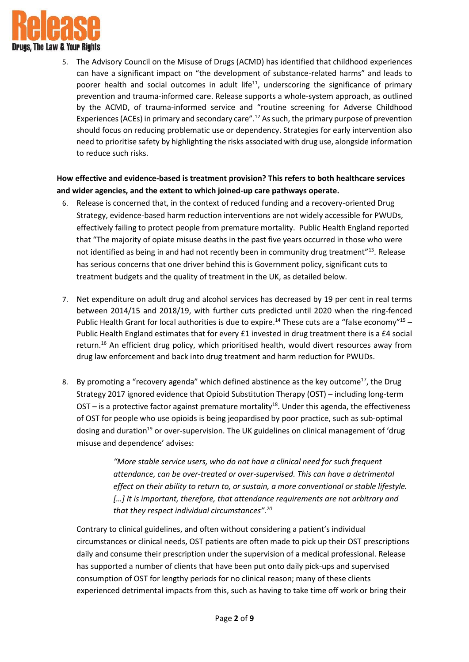

5. The Advisory Council on the Misuse of Drugs (ACMD) has identified that childhood experiences can have a significant impact on "the development of substance-related harms" and leads to poorer health and social outcomes in adult life<sup>11</sup>, underscoring the significance of primary prevention and trauma-informed care. Release supports a whole-system approach, as outlined by the ACMD, of trauma-informed service and "routine screening for Adverse Childhood Experiences (ACEs) in primary and secondary care".<sup>12</sup> As such, the primary purpose of prevention should focus on reducing problematic use or dependency. Strategies for early intervention also need to prioritise safety by highlighting the risks associated with drug use, alongside information to reduce such risks.

### **How effective and evidence-based is treatment provision? This refers to both healthcare services and wider agencies, and the extent to which joined-up care pathways operate.**

- 6. Release is concerned that, in the context of reduced funding and a recovery-oriented Drug Strategy, evidence-based harm reduction interventions are not widely accessible for PWUDs, effectively failing to protect people from premature mortality. Public Health England reported that "The majority of opiate misuse deaths in the past five years occurred in those who were not identified as being in and had not recently been in community drug treatment"<sup>13</sup>. Release has serious concerns that one driver behind this is Government policy, significant cuts to treatment budgets and the quality of treatment in the UK, as detailed below.
- 7. Net expenditure on adult drug and alcohol services has decreased by 19 per cent in real terms between 2014/15 and 2018/19, with further cuts predicted until 2020 when the ring-fenced Public Health Grant for local authorities is due to expire.<sup>14</sup> These cuts are a "false economy"<sup>15</sup> -Public Health England estimates that for every £1 invested in drug treatment there is a £4 social return.<sup>16</sup> An efficient drug policy, which prioritised health, would divert resources away from drug law enforcement and back into drug treatment and harm reduction for PWUDs.
- 8. By promoting a "recovery agenda" which defined abstinence as the key outcome<sup>17</sup>, the Drug Strategy 2017 ignored evidence that Opioid Substitution Therapy (OST) – including long-term OST – is a protective factor against premature mortality<sup>18</sup>. Under this agenda, the effectiveness of OST for people who use opioids is being jeopardised by poor practice, such as sub-optimal dosing and duration<sup>19</sup> or over-supervision. The UK guidelines on clinical management of 'drug misuse and dependence' advises:

*"More stable service users, who do not have a clinical need for such frequent attendance, can be over-treated or over-supervised. This can have a detrimental effect on their ability to return to, or sustain, a more conventional or stable lifestyle.*  [...] It is important, therefore, that attendance requirements are not arbitrary and *that they respect individual circumstances".<sup>20</sup>*

Contrary to clinical guidelines, and often without considering a patient's individual circumstances or clinical needs, OST patients are often made to pick up their OST prescriptions daily and consume their prescription under the supervision of a medical professional. Release has supported a number of clients that have been put onto daily pick-ups and supervised consumption of OST for lengthy periods for no clinical reason; many of these clients experienced detrimental impacts from this, such as having to take time off work or bring their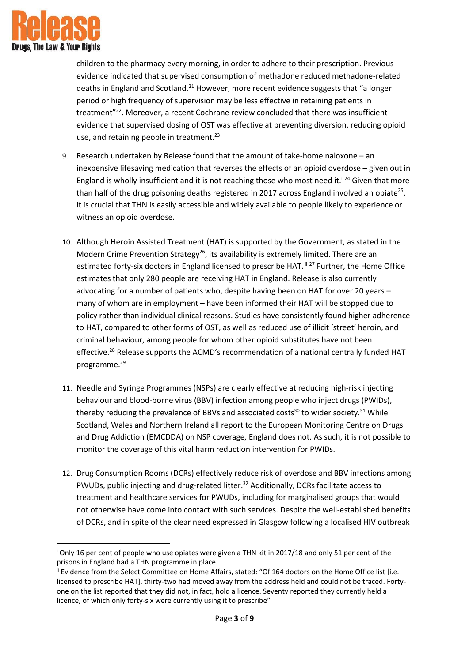

**.** 

children to the pharmacy every morning, in order to adhere to their prescription. Previous evidence indicated that supervised consumption of methadone reduced methadone-related deaths in England and Scotland.<sup>21</sup> However, more recent evidence suggests that "a longer period or high frequency of supervision may be less effective in retaining patients in treatment"<sup>22</sup>. Moreover, a recent Cochrane review concluded that there was insufficient evidence that supervised dosing of OST was effective at preventing diversion, reducing opioid use, and retaining people in treatment.<sup>23</sup>

- 9. Research undertaken by Release found that the amount of take-home naloxone an inexpensive lifesaving medication that reverses the effects of an opioid overdose – given out in England is wholly insufficient and it is not reaching those who most need it.<sup>124</sup> Given that more than half of the drug poisoning deaths registered in 2017 across England involved an opiate<sup>25</sup>, it is crucial that THN is easily accessible and widely available to people likely to experience or witness an opioid overdose.
- 10. Although Heroin Assisted Treatment (HAT) is supported by the Government, as stated in the Modern Crime Prevention Strategy<sup>26</sup>, its availability is extremely limited. There are an estimated forty-six doctors in England licensed to prescribe HAT. <sup>ii 27</sup> Further, the Home Office estimates that only 280 people are receiving HAT in England. Release is also currently advocating for a number of patients who, despite having been on HAT for over 20 years – many of whom are in employment – have been informed their HAT will be stopped due to policy rather than individual clinical reasons. Studies have consistently found higher adherence to HAT, compared to other forms of OST, as well as reduced use of illicit 'street' heroin, and criminal behaviour, among people for whom other opioid substitutes have not been effective.<sup>28</sup> Release supports the ACMD's recommendation of a national centrally funded HAT programme.<sup>29</sup>
- 11. Needle and Syringe Programmes (NSPs) are clearly effective at reducing high-risk injecting behaviour and blood-borne virus (BBV) infection among people who inject drugs (PWIDs), thereby reducing the prevalence of BBVs and associated costs<sup>30</sup> to wider society.<sup>31</sup> While Scotland, Wales and Northern Ireland all report to the European Monitoring Centre on Drugs and Drug Addiction (EMCDDA) on NSP coverage, England does not. As such, it is not possible to monitor the coverage of this vital harm reduction intervention for PWIDs.
- 12. Drug Consumption Rooms (DCRs) effectively reduce risk of overdose and BBV infections among PWUDs, public injecting and drug-related litter.<sup>32</sup> Additionally, DCRs facilitate access to treatment and healthcare services for PWUDs, including for marginalised groups that would not otherwise have come into contact with such services. Despite the well-established benefits of DCRs, and in spite of the clear need expressed in Glasgow following a localised HIV outbreak

<sup>i</sup> Only 16 per cent of people who use opiates were given a THN kit in 2017/18 and only 51 per cent of the prisons in England had a THN programme in place.

ii Evidence from the Select Committee on Home Affairs, stated: "Of 164 doctors on the Home Office list [i.e. licensed to prescribe HAT], thirty-two had moved away from the address held and could not be traced. Fortyone on the list reported that they did not, in fact, hold a licence. Seventy reported they currently held a licence, of which only forty-six were currently using it to prescribe"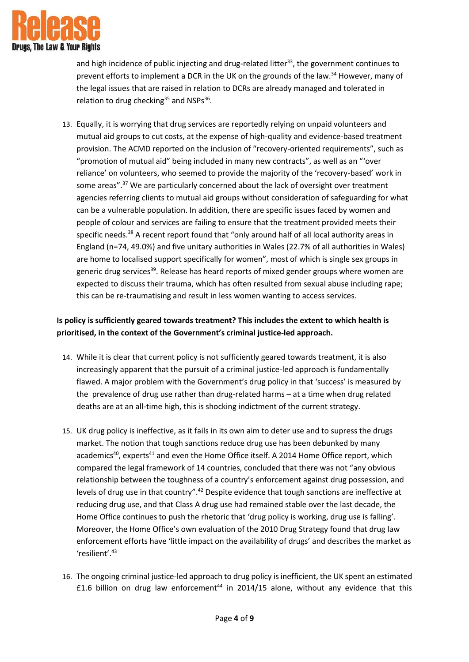

and high incidence of public injecting and drug-related litter<sup>33</sup>, the government continues to prevent efforts to implement a DCR in the UK on the grounds of the law.<sup>34</sup> However, many of the legal issues that are raised in relation to DCRs are already managed and tolerated in relation to drug checking<sup>35</sup> and NSPs<sup>36</sup>.

13. Equally, it is worrying that drug services are reportedly relying on unpaid volunteers and mutual aid groups to cut costs, at the expense of high-quality and evidence-based treatment provision. The ACMD reported on the inclusion of "recovery-oriented requirements", such as "promotion of mutual aid" being included in many new contracts", as well as an "'over reliance' on volunteers, who seemed to provide the majority of the 'recovery-based' work in some areas".<sup>37</sup> We are particularly concerned about the lack of oversight over treatment agencies referring clients to mutual aid groups without consideration of safeguarding for what can be a vulnerable population. In addition, there are specific issues faced by women and people of colour and services are failing to ensure that the treatment provided meets their specific needs.<sup>38</sup> A recent report found that "only around half of all local authority areas in England (n=74, 49.0%) and five unitary authorities in Wales (22.7% of all authorities in Wales) are home to localised support specifically for women", most of which is single sex groups in generic drug services<sup>39</sup>. Release has heard reports of mixed gender groups where women are expected to discuss their trauma, which has often resulted from sexual abuse including rape; this can be re-traumatising and result in less women wanting to access services.

# **Is policy is sufficiently geared towards treatment? This includes the extent to which health is prioritised, in the context of the Government's criminal justice-led approach.**

- 14. While it is clear that current policy is not sufficiently geared towards treatment, it is also increasingly apparent that the pursuit of a criminal justice-led approach is fundamentally flawed. A major problem with the Government's drug policy in that 'success' is measured by the prevalence of drug use rather than drug-related harms – at a time when drug related deaths are at an all-time high, this is shocking indictment of the current strategy.
- 15. UK drug policy is ineffective, as it fails in its own aim to deter use and to supress the drugs market. The notion that tough sanctions reduce drug use has been debunked by many academics<sup>40</sup>, experts<sup>41</sup> and even the Home Office itself. A 2014 Home Office report, which compared the legal framework of 14 countries, concluded that there was not "any obvious relationship between the toughness of a country's enforcement against drug possession, and levels of drug use in that country".<sup>42</sup> Despite evidence that tough sanctions are ineffective at reducing drug use, and that Class A drug use had remained stable over the last decade, the Home Office continues to push the rhetoric that 'drug policy is working, drug use is falling'. Moreover, the Home Office's own evaluation of the 2010 Drug Strategy found that drug law enforcement efforts have 'little impact on the availability of drugs' and describes the market as 'resilient'.<sup>43</sup>
- 16. The ongoing criminal justice-led approach to drug policy isinefficient, the UK spent an estimated £1.6 billion on drug law enforcement<sup>44</sup> in 2014/15 alone, without any evidence that this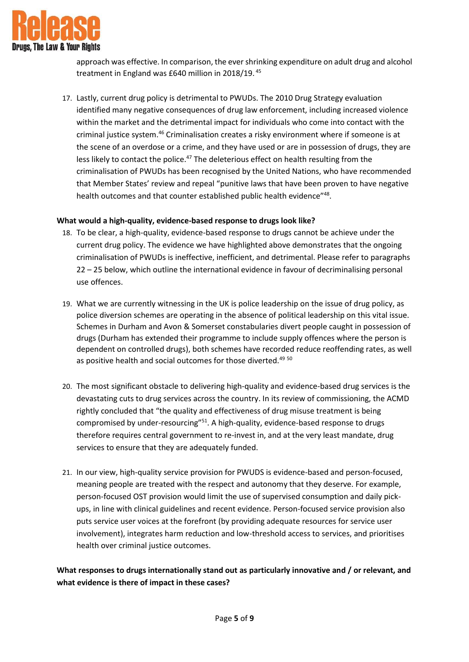

approach was effective. In comparison, the ever shrinking expenditure on adult drug and alcohol treatment in England was £640 million in 2018/19. <sup>45</sup>

17. Lastly, current drug policy is detrimental to PWUDs. The 2010 Drug Strategy evaluation identified many negative consequences of drug law enforcement, including increased violence within the market and the detrimental impact for individuals who come into contact with the criminal justice system.<sup>46</sup> Criminalisation creates a risky environment where if someone is at the scene of an overdose or a crime, and they have used or are in possession of drugs, they are less likely to contact the police.<sup>47</sup> The deleterious effect on health resulting from the criminalisation of PWUDs has been recognised by the United Nations, who have recommended that Member States' review and repeal "punitive laws that have been proven to have negative health outcomes and that counter established public health evidence"<sup>48</sup>.

### **What would a high-quality, evidence-based response to drugs look like?**

- 18. To be clear, a high-quality, evidence-based response to drugs cannot be achieve under the current drug policy. The evidence we have highlighted above demonstrates that the ongoing criminalisation of PWUDs is ineffective, inefficient, and detrimental. Please refer to paragraphs 22 – 25 below, which outline the international evidence in favour of decriminalising personal use offences.
- 19. What we are currently witnessing in the UK is police leadership on the issue of drug policy, as police diversion schemes are operating in the absence of political leadership on this vital issue. Schemes in Durham and Avon & Somerset constabularies divert people caught in possession of drugs (Durham has extended their programme to include supply offences where the person is dependent on controlled drugs), both schemes have recorded reduce reoffending rates, as well as positive health and social outcomes for those diverted.<sup>49 50</sup>
- 20. The most significant obstacle to delivering high-quality and evidence-based drug services is the devastating cuts to drug services across the country. In its review of commissioning, the ACMD rightly concluded that "the quality and effectiveness of drug misuse treatment is being compromised by under-resourcing"<sup>51</sup>. A high-quality, evidence-based response to drugs therefore requires central government to re-invest in, and at the very least mandate, drug services to ensure that they are adequately funded.
- 21. In our view, high-quality service provision for PWUDS is evidence-based and person-focused, meaning people are treated with the respect and autonomy that they deserve. For example, person-focused OST provision would limit the use of supervised consumption and daily pickups, in line with clinical guidelines and recent evidence. Person-focused service provision also puts service user voices at the forefront (by providing adequate resources for service user involvement), integrates harm reduction and low-threshold access to services, and prioritises health over criminal justice outcomes.

# **What responses to drugs internationally stand out as particularly innovative and / or relevant, and what evidence is there of impact in these cases?**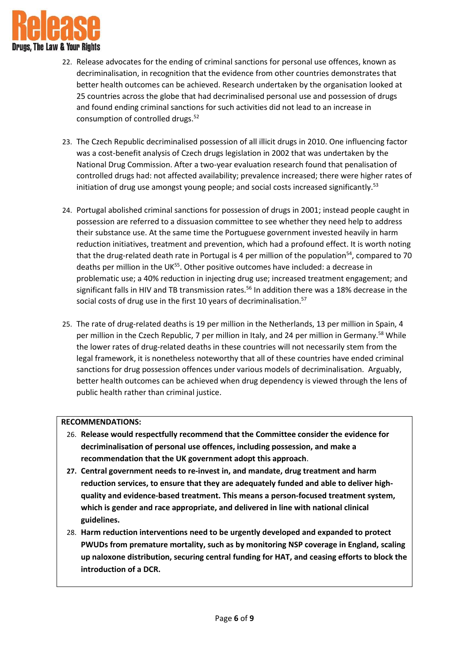

- 22. Release advocates for the ending of criminal sanctions for personal use offences, known as decriminalisation, in recognition that the evidence from other countries demonstrates that better health outcomes can be achieved. Research undertaken by the organisation looked at 25 countries across the globe that had decriminalised personal use and possession of drugs and found ending criminal sanctions for such activities did not lead to an increase in consumption of controlled drugs.<sup>52</sup>
- 23. The Czech Republic decriminalised possession of all illicit drugs in 2010. One influencing factor was a cost-benefit analysis of Czech drugs legislation in 2002 that was undertaken by the National Drug Commission. After a two-year evaluation research found that penalisation of controlled drugs had: not affected availability; prevalence increased; there were higher rates of initiation of drug use amongst young people; and social costs increased significantly.<sup>53</sup>
- 24. Portugal abolished criminal sanctions for possession of drugs in 2001; instead people caught in possession are referred to a dissuasion committee to see whether they need help to address their substance use. At the same time the Portuguese government invested heavily in harm reduction initiatives, treatment and prevention, which had a profound effect. It is worth noting that the drug-related death rate in Portugal is 4 per million of the population<sup>54</sup>, compared to 70 deaths per million in the UK $^{55}$ . Other positive outcomes have included: a decrease in problematic use; a 40% reduction in injecting drug use; increased treatment engagement; and significant falls in HIV and TB transmission rates.<sup>56</sup> In addition there was a 18% decrease in the social costs of drug use in the first 10 years of decriminalisation.<sup>57</sup>
- 25. The rate of drug-related deaths is 19 per million in the Netherlands, 13 per million in Spain, 4 per million in the Czech Republic, 7 per million in Italy, and 24 per million in Germany.<sup>58</sup> While the lower rates of drug-related deaths in these countries will not necessarily stem from the legal framework, it is nonetheless noteworthy that all of these countries have ended criminal sanctions for drug possession offences under various models of decriminalisation. Arguably, better health outcomes can be achieved when drug dependency is viewed through the lens of public health rather than criminal justice.

#### **RECOMMENDATIONS:**

- 26. **Release would respectfully recommend that the Committee consider the evidence for decriminalisation of personal use offences, including possession, and make a recommendation that the UK government adopt this approach**.
- **27. Central government needs to re-invest in, and mandate, drug treatment and harm reduction services, to ensure that they are adequately funded and able to deliver highquality and evidence-based treatment. This means a person-focused treatment system, which is gender and race appropriate, and delivered in line with national clinical guidelines.**
- 28. **Harm reduction interventions need to be urgently developed and expanded to protect PWUDs from premature mortality, such as by monitoring NSP coverage in England, scaling up naloxone distribution, securing central funding for HAT, and ceasing efforts to block the introduction of a DCR.**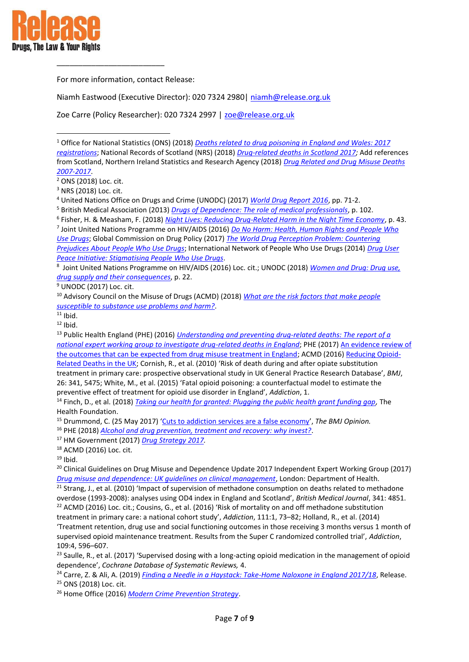

1

For more information, contact Release:

\_\_\_\_\_\_\_\_\_\_\_\_\_\_\_\_\_\_\_\_\_\_\_\_\_

Niamh Eastwood (Executive Director): 020 7324 2980 | niamh@release.org.uk

Zoe Carre (Policy Researcher): 020 7324 2997 | [zoe@release.org.uk](mailto:zoe@release.org.uk) 

<sup>1</sup> Office for National Statistics (ONS) (2018) *[Deaths related to drug poisoning in England and Wales: 2017](https://www.ons.gov.uk/peoplepopulationandcommunity/birthsdeathsandmarriages/deaths/bulletins/deathsrelatedtodrugpoisoninginenglandandwales/2017registrations)  [registrations](https://www.ons.gov.uk/peoplepopulationandcommunity/birthsdeathsandmarriages/deaths/bulletins/deathsrelatedtodrugpoisoninginenglandandwales/2017registrations)*; National Records of Scotland (NRS) (2018) *[Drug-related deaths in Scotland 2017;](https://www.nrscotland.gov.uk/files/statistics/drug-related-deaths/17/drug-related-deaths-17-pub.pdf)* Add references from Scotland, Northern Ireland Statistics and Research Agency (2018) *[Drug Related and Drug Misuse Deaths](https://www.nisra.gov.uk/publications/drug-related-and-drug-misuse-deaths-2007-2017)  [2007-2017](https://www.nisra.gov.uk/publications/drug-related-and-drug-misuse-deaths-2007-2017)*.

<sup>4</sup> United Nations Office on Drugs and Crime (UNODC) (2017) *[World Drug Report 2016](https://www.unodc.org/doc/wdr2016/WORLD_DRUG_REPORT_2016_web.pdf)*, pp. 71-2.

<sup>5</sup> British Medical Association (2013) *[Drugs of Dependence: The role of medical professionals](https://www.bma.org.uk/collective-voice/policy-and-research/public-and-population-health/illicit-drug-use/full-report)*, p. 102.

6 Fisher, H. & Measham, F. (2018) *[Night Lives: Reducing Drug-Related Harm in the Night Time Economy](http://volteface.me/app/uploads/2018/07/Night-Lives-PDF.pdf)*, p. 43.

7 Joint United Nations Programme on HIV/AIDS (2016) *[Do No Harm: Health, Human Rights and People Who](http://www.unaids.org/sites/default/files/media_asset/donoharm_en.pdf)  [Use Drugs](http://www.unaids.org/sites/default/files/media_asset/donoharm_en.pdf)*; Global Commission on Drug Policy (2017) *[The World Drug Perception Problem: Countering](http://www.globalcommissionondrugs.org/wp-content/uploads/2018/01/GCDP-Report-2017_Perceptions-ENGLISH.pdf)  Prejudices About [People Who Use Drugs](http://www.globalcommissionondrugs.org/wp-content/uploads/2018/01/GCDP-Report-2017_Perceptions-ENGLISH.pdf)*; International Network of People Who Use Drugs (2014) *[Drug User](https://www.unodc.org/documents/ungass2016/Contributions/Civil/INPUD/DUPI-Stigmatising_People_who_Use_Drugs-Web.pdf)  [Peace Initiative: Stigmatising People Who Use Drugs](https://www.unodc.org/documents/ungass2016/Contributions/Civil/INPUD/DUPI-Stigmatising_People_who_Use_Drugs-Web.pdf)*.

8 Joint United Nations Programme on HIV/AIDS (2016) Loc. cit.; UNODC (2018) *[Women and Drug: Drug use,](https://www.unodc.org/wdr2018/prelaunch/WDR18_Booklet_5_WOMEN.pdf)  [drug supply and their consequences](https://www.unodc.org/wdr2018/prelaunch/WDR18_Booklet_5_WOMEN.pdf)*, p. 22.

<sup>9</sup> UNODC (2017) Loc. cit.

<sup>13</sup> Public Health England (PHE) (2016) *[Understanding and preventing drug-related deaths: The report of a](https://assets.publishing.service.gov.uk/government/uploads/system/uploads/attachment_data/file/669308/Understanding_and_preventing_drug_related_deaths_report.pdf)  [national expert working group to investigate drug-related deaths in England](https://assets.publishing.service.gov.uk/government/uploads/system/uploads/attachment_data/file/669308/Understanding_and_preventing_drug_related_deaths_report.pdf)*; PHE (2017[\) An evidence review of](https://assets.publishing.service.gov.uk/government/uploads/system/uploads/attachment_data/file/586111/PHE_Evidence_review_of_drug_treatment_outcomes.pdf)  [the outcomes that can be expected from drug misuse treatment in England;](https://assets.publishing.service.gov.uk/government/uploads/system/uploads/attachment_data/file/586111/PHE_Evidence_review_of_drug_treatment_outcomes.pdf) ACMD (2016[\) Reducing Opioid-](https://assets.publishing.service.gov.uk/%20government/uploads/system/uploads/attachment_data/file/576560/ACMD-Drug-Related-Deaths-Report-161212.%20pdf)[Related Deaths in the UK](https://assets.publishing.service.gov.uk/%20government/uploads/system/uploads/attachment_data/file/576560/ACMD-Drug-Related-Deaths-Report-161212.%20pdf); Cornish, R., et al. (2010) 'Risk of death during and after opiate substitution treatment in primary care: prospective observational study in UK General Practice Research Database', *BMJ*, 26: 341, 5475; White, M., et al. (2015) 'Fatal opioid poisoning: a counterfactual model to estimate the preventive effect of treatment for opioid use disorder in England', *Addiction*, 1.

<sup>14</sup> Finch, D., et al. (2018) *[Taking our health for granted: Plugging the public health grant funding gap,](https://www.health.org.uk/sites/default/files/upload/publications/2018/Taking%20our%20health%20for%20granted_for%20web.pdf)* The Health Foundation.

<sup>15</sup> Drummond, C. (25 May 2017) '[Cuts to addiction services are a false economy](https://blogs.bmj.com/bmj/2017/05/25/colin-drummond-cuts-to-addiction-services-in-england-are-a-false-economy/)', *The BMJ Opinion.*

<sup>16</sup> PHE (2018) *[Alcohol and drug prevention, treatment and recovery: why invest?](https://www.gov.uk/government/publications/alcohol-and-drug-prevention-treatment-and-recovery-why-invest/alcohol-and-drug-prevention-treatment-and-recovery-why-invest)*.

<sup>17</sup> HM Government (2017) *[Drug Strategy 2017.](https://assets.publishing.service.gov.uk/government/uploads/system/uploads/attachment_data/file/628148/Drug_strategy_2017.PDF)* 

 $21$  Strang, J., et al. (2010) 'Impact of supervision of methadone consumption on deaths related to methadone overdose (1993-2008): analyses using OD4 index in England and Scotland', *British Medical Journal*, 341: 4851. <sup>22</sup> ACMD (2016) Loc. cit.; Cousins, G., et al. (2016) 'Risk of mortality on and off methadone substitution treatment in primary care: a national cohort study', *Addiction*, 111:1, 73–82; Holland, R., et al. (2014) 'Treatment retention, drug use and social functioning outcomes in those receiving 3 months versus 1 month of

supervised opioid maintenance treatment. Results from the Super C randomized controlled trial', *Addiction*, 109:4, 596–607.

<sup>23</sup> Saulle, R., et al. (2017) 'Supervised dosing with a long-acting opioid medication in the management of opioid dependence', *Cochrane Database of Systematic Reviews,* 4.

<sup>24</sup> Carre, Z. & Ali, A. (2019) *[Finding a Needle in a Haystack: Take-Home Naloxone in England 2017/18](https://www.release.org.uk/sites/default/files/pdf/publications/Finding%20a%20Needle%20in%20a%20Haystack_0.pdf)*, Release. <sup>25</sup> ONS (2018) Loc. cit.

<sup>26</sup> Home Office (2016) *[Modern Crime Prevention Strategy](https://www.gov.uk/government/publications/modern-crime-prevention-strategy)*.

 $2$  ONS (2018) Loc. cit.

<sup>3</sup> NRS (2018) Loc. cit.

<sup>10</sup> Advisory Council on the Misuse of Drugs (ACMD) (2018) *[What are the risk factors that make people](https://assets.publishing.service.gov.uk/government/uploads/system/uploads/attachment_data/file/761123/Vulnerability_and_Drug_Use_Report_04_Dec_.pdf)  [susceptible to substance use problems and harm?](https://assets.publishing.service.gov.uk/government/uploads/system/uploads/attachment_data/file/761123/Vulnerability_and_Drug_Use_Report_04_Dec_.pdf)*.

 $11$  Ibid.

 $12$  Ibid.

<sup>18</sup> ACMD (2016) Loc. cit.

 $19$  Ibid.

<sup>&</sup>lt;sup>20</sup> Clinical Guidelines on Drug Misuse and Dependence Update 2017 Independent Expert Working Group (2017) *[Drug misuse and dependence: UK guidelines on clinical management](https://assets.publishing.service.gov.uk/government/uploads/system/uploads/attachment_data/file/673978/clinical_guidelines_2017.pdf)*, London: Department of Health.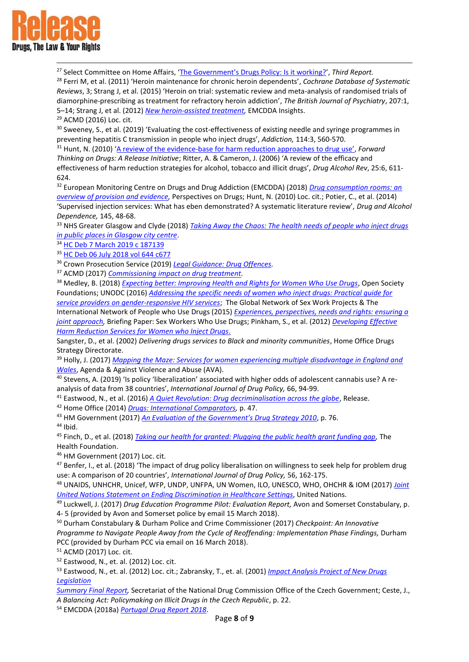

1

<sup>27</sup> Select Committee on Home Affairs, ['The Government's Drugs Policy: Is it working?',](https://publications.parliament.uk/pa/cm200102/cmselect/cmhaff/318/31809.htm#note167) *Third Report.* 

<sup>28</sup> Ferri M, et al. (2011) 'Heroin maintenance for chronic heroin dependents', *Cochrane Database of Systematic Reviews*, 3; Strang J, et al. (2015) 'Heroin on trial: systematic review and meta-analysis of randomised trials of diamorphine-prescribing as treatment for refractory heroin addiction', *The British Journal of Psychiatry*, 207:1, 5–14; Strang J, et al. (2012) *[New heroin-assisted treatment,](http://www.emcdda.europa.eu/system/files/publications/690/Heroin_Insight_335259.pdf)* EMCDDA Insights.

<sup>29</sup> ACMD (2016) Loc. cit.

<sup>30</sup> Sweeney, S., et al. (2019) 'Evaluating the cost-effectiveness of existing needle and syringe programmes in preventing hepatitis C transmission in people who inject drugs', *Addiction,* 114:3, 560-570.

<sup>31</sup> Hunt, N. (2010) 'A review of the evidence-[base for harm reduction approaches to drug use'](https://www.hri.global/files/2010/05/31/HIVTop50Documents11.pdf), *Forward Thinking on Drugs: A Release Initiative*; Ritter, A. & Cameron, J. (2006) 'A review of the efficacy and effectiveness of harm reduction strategies for alcohol, tobacco and illicit drugs', *Drug Alcohol Rev*, 25:6, 611- 624.

<sup>32</sup> European Monitoring Centre on Drugs and Drug Addiction (EMCDDA) (2018) *[Drug consumption rooms: an](http://www.emcdda.europa.eu/system/files/publications/2734/POD_Drug%20consumption%20rooms.pdf)  [overview of provision and evidence,](http://www.emcdda.europa.eu/system/files/publications/2734/POD_Drug%20consumption%20rooms.pdf)* Perspectives on Drugs; Hunt, N. (2010) Loc. cit.; Potier, C., et al. (2014) 'Supervised injection services: What has eben demonstrated? A systematic literature review', *Drug and Alcohol Dependence,* 145, 48-68.

<sup>33</sup> NHS Greater Glasgow and Clyde (2018) *[Taking Away the Chaos: The health needs of people who inject drugs](https://www.nhsggc.org.uk/media/238302/nhsggc_health_needs_drug_injectors_full.pdf)  [in public places in Glasgow city centre](https://www.nhsggc.org.uk/media/238302/nhsggc_health_needs_drug_injectors_full.pdf)*.

<sup>34</sup> [HC Deb 7 March 2019 c 187139](https://www.parliament.uk/business/publications/written-questions-answers-statements/written-question/Commons/2018-11-01/187139/)

<sup>35</sup> [HC Deb 06 July 2018 vol 644 c677](https://hansard.parliament.uk/commons/2018-07-06/debates/E0DEEB30-1E43-44C7-AFF6-108381E254F4/MusicFestivalsDrugSafetyTesting)

<sup>36</sup> Crown Prosecution Service (2019) *[Legal Guidance: Drug Offences.](https://www.cps.gov.uk/legal-guidance/drug-offences)*

<sup>37</sup> ACMD (2017) *[Commissioning impact on drug treatment.](https://assets.publishing.service.gov.uk/government/uploads/system/uploads/attachment_data/file/642811/Final_Commissioning_report_5.15_6th_Sept.pdf)* 

<sup>38</sup> Medley, B. (2018) *[Expecting better: Improving Health and Rights for Women Who Use Drugs](https://www.opensocietyfoundations.org/sites/default/files/expecting-better-improving-health-and-rights-for-pregnant-women-who-use-drugs-20181016.pdf)*, Open Society Foundations; UNODC (2016) *[Addressing the specific needs of women who inject drugs: Practical guide for](https://www.unodc.org/documents/hiv-aids/2016/Addressing_the_specific_needs_of_women_who_inject_drugs_Practical_guide_for_service_providers_on_gender-responsive_HIV_services.pdf)  [service providers on gender-responsive HIV services](https://www.unodc.org/documents/hiv-aids/2016/Addressing_the_specific_needs_of_women_who_inject_drugs_Practical_guide_for_service_providers_on_gender-responsive_HIV_services.pdf)*; The Global Network of Sex Work Projects & The

International Network of People who Use Drugs (2015) *[Experiences, perspectives, needs and rights: ensuring a](https://www.nswp.org/sites/nswp.org/files/Joint%20Briefing%20Paper%20Sex%20Workers%20Who%20Use%20Drugs%2C%20NSWP%20INPUD%20-%20October%202015.pdf)  [joint approach,](https://www.nswp.org/sites/nswp.org/files/Joint%20Briefing%20Paper%20Sex%20Workers%20Who%20Use%20Drugs%2C%20NSWP%20INPUD%20-%20October%202015.pdf)* Briefing Paper: Sex Workers Who Use Drugs; Pinkham, S., et al. (2012) *[Developing Effective](https://www.hri.global/files/2012/09/04/Chapter_3.1_women_.pdf)  [Harm Reduction Services for Women who Inject Drugs](https://www.hri.global/files/2012/09/04/Chapter_3.1_women_.pdf)*.

Sangster, D., et al. (2002) *Delivering drugs services to Black and minority communities*, Home Office Drugs Strategy Directorate.

<sup>39</sup> Holly, J. (2017) *[Mapping the Maze: Services for women experiencing multiple disadvantage in England and](https://avaproject.org.uk/wp/wp-content/uploads/2017/09/Mapping-the-Maze-final-report-forpublication.pdf)  [Wales](https://avaproject.org.uk/wp/wp-content/uploads/2017/09/Mapping-the-Maze-final-report-forpublication.pdf)*, Agenda & Against Violence and Abuse (AVA).

<sup>40</sup> Stevens, A. (2019) 'Is policy 'liberalization' associated with higher odds of adolescent cannabis use? A reanalysis of data from 38 countries', *International Journal of Drug Policy,* 66, 94-99.

<sup>41</sup> Eastwood, N., et al. (2016) *[A Quiet Revolution: Drug decriminalisation across the globe](https://www.release.org.uk/sites/default/files/pdf/publications/A%20Quiet%20Revolution%20-%20Decriminalisation%20Across%20the%20Globe.pdf)*, Release.

<sup>42</sup> Home Office (2014) *[Drugs: International Comparators,](https://assets.publishing.service.gov.uk/government/uploads/system/uploads/attachment_data/file/368489/DrugsInternationalComparators.pdf)* p. 47.

<sup>43</sup> HM Government (2017) *[An Evaluation of the Government's Drug Strategy 2010](https://assets.publishing.service.gov.uk/government/uploads/system/uploads/attachment_data/file/628100/Drug_Strategy_Evaluation.PDF)*, p. 76.

<sup>44</sup> Ibid.

<sup>45</sup> Finch, D., et al. (2018) *[Taking our health for granted: Plugging the public health grant funding gap,](https://www.health.org.uk/sites/default/files/upload/publications/2018/Taking%20our%20health%20for%20granted_for%20web.pdf)* The Health Foundation.

<sup>46</sup> HM Government (2017) Loc. cit.

 $47$  Benfer, I., et al. (2018) 'The impact of drug policy liberalisation on willingness to seek help for problem drug use: A comparison of 20 countries', *International Journal of Drug Policy,* 56, 162-175.

<sup>48</sup> UNAIDS, UNHCHR, Unicef, WFP, UNDP, UNFPA, UN Women, ILO, UNESCO, WHO, OHCHR & IOM (2017) *[Joint](http://www.unaids.org/sites/default/files/media_asset/ending-discrimination-healthcare-settings_en.pdf)  [United Nations Statement on Ending Discrimination in Healthcare Settings](http://www.unaids.org/sites/default/files/media_asset/ending-discrimination-healthcare-settings_en.pdf)*, United Nations.

<sup>49</sup> Luckwell, J. (2017) *Drug Education Programme Pilot: Evaluation Report,* Avon and Somerset Constabulary, p. 4- 5 (provided by Avon and Somerset police by email 15 March 2018).

<sup>50</sup> Durham Constabulary & Durham Police and Crime Commissioner (2017) *Checkpoint: An Innovative Programme to Navigate People Away from the Cycle of Reoffending: Implementation Phase Findings,* Durham PCC (provided by Durham PCC via email on 16 March 2018).

<sup>51</sup> ACMD (2017) Loc. cit.

<sup>52</sup> Eastwood, N., et. al. (2012) Loc. cit.

<sup>53</sup> Eastwood, N., et. al. (2012) Loc. cit.; Zabransky, T., et. al. (2001) *[Impact Analysis Project of New Drugs](http://www.druglawreform.info/images/stories/documents/Czech_evaluation_2001_PAD_en.pdf)  [Legislation](http://www.druglawreform.info/images/stories/documents/Czech_evaluation_2001_PAD_en.pdf)*

*[Summary Final Report,](http://www.druglawreform.info/images/stories/documents/Czech_evaluation_2001_PAD_en.pdf)* Secretariat of the National Drug Commission Office of the Czech Government; Ceste, J., *A Balancing Act: Policymaking on Illicit Drugs in the Czech Republic*, p. 22.

<sup>54</sup> EMCDDA (2018a) *[Portugal Drug Report 2018](http://www.emcdda.europa.eu/system/files/publications/8890/portugal-cdr-2018.pdf)*.